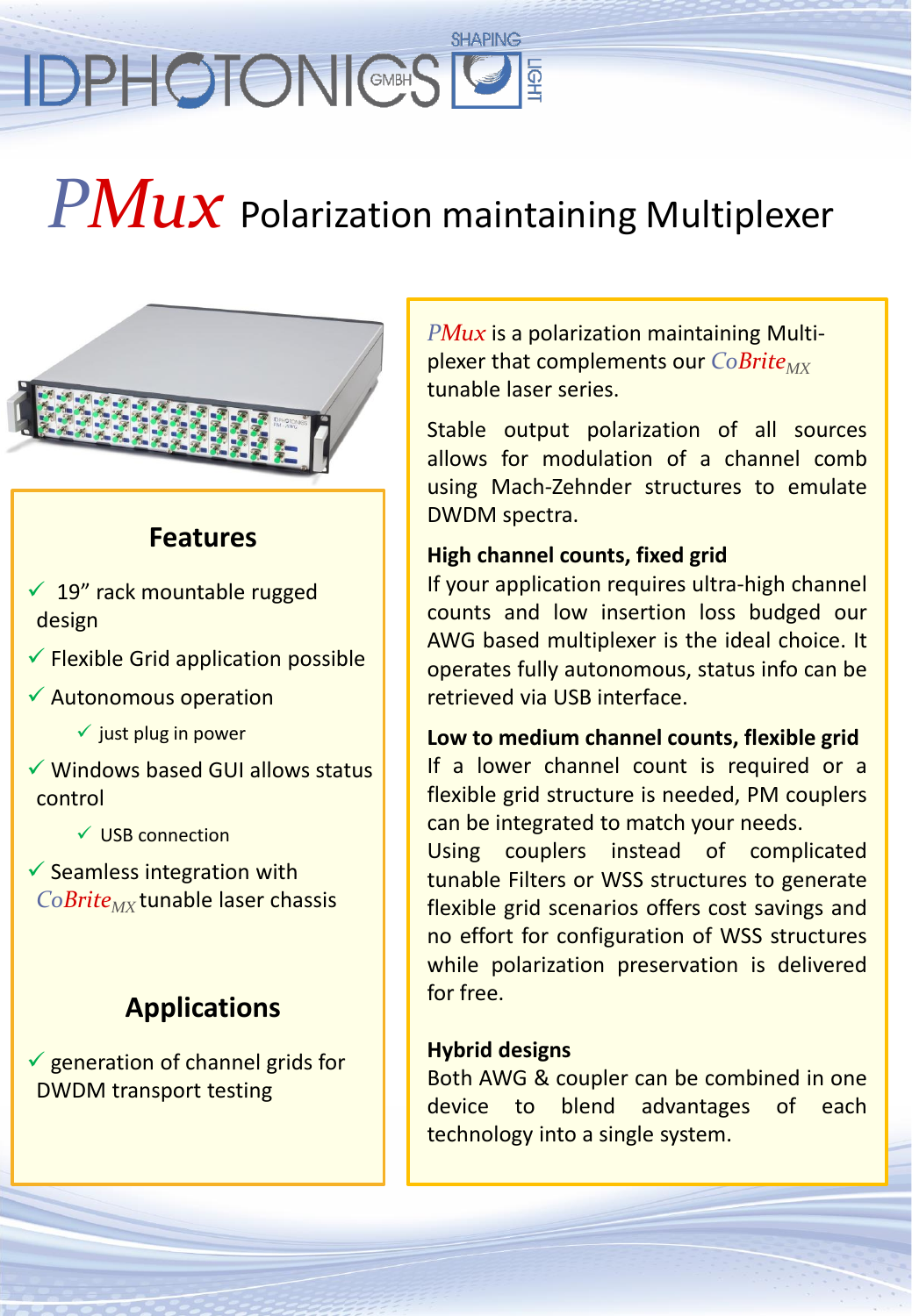# **SHAPING IDPHOTONIC®SIS**

# *PMux* Polarization maintaining Multiplexer

### **Features**

- $\checkmark$  19" rack mountable rugged design
- $\checkmark$  Flexible Grid application possible
- $\checkmark$  Autonomous operation
	- $\checkmark$  just plug in power
- $\checkmark$  Windows based GUI allows status control
	- $\checkmark$  USB connection
- $\checkmark$  Seamless integration with *CoBriteMX* tunable laser chassis

## **Applications**

 $\checkmark$  generation of channel grids for DWDM transport testing

*PMux* is a polarization maintaining Multiplexer that complements our *CoBrite<sub>MX</sub>* tunable laser series.

Stable output polarization of all sources allows for modulation of a channel comb using Mach-Zehnder structures to emulate DWDM spectra.

#### **High channel counts, fixed grid**

If your application requires ultra-high channel counts and low insertion loss budged our AWG based multiplexer is the ideal choice. It operates fully autonomous, status info can be retrieved via USB interface.

**Low to medium channel counts, flexible grid** If a lower channel count is required or a flexible grid structure is needed, PM couplers can be integrated to match your needs.

Using couplers instead of complicated tunable Filters or WSS structures to generate flexible grid scenarios offers cost savings and no effort for configuration of WSS structures while polarization preservation is delivered for free.

#### **Hybrid designs**

Both AWG & coupler can be combined in one device to blend advantages of each technology into a single system.